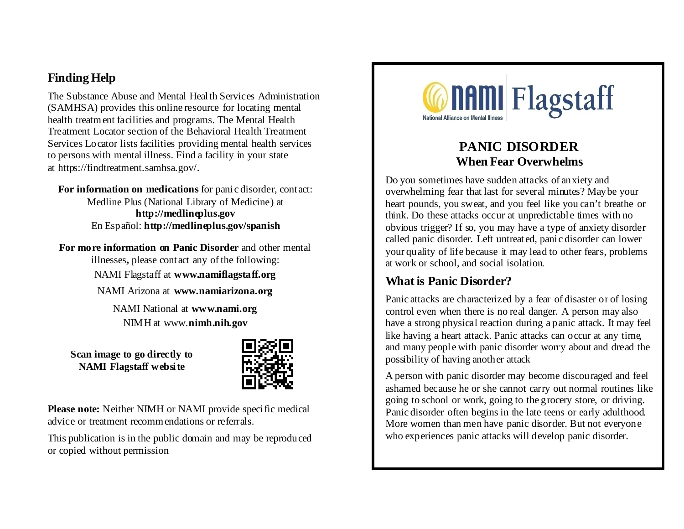### **Finding Help**

The Substance Abuse and Mental Health Services Administration (SAMHSA) provides this online resource for locating mental health treatment facilities and programs. The Mental Health Treatment Locator section of the Behavioral Health Treatment Services Locator lists facilities providing mental health services to persons with mental illness. Find a facility in your state at https://findtreatment.samhsa.gov/.

**For information on medications** for panic disorder, contact: Medline Plus (National Library of Medicine) at **http://medlineplus.gov** En Español: **http://medlineplus.gov/spanish**

**For more information on Panic Disorder** and other mental illnesses**,** please contact any of the following: NAMI Flagstaff at **www.namiflagstaff.org** NAMI Arizona at **www.namiarizona.org** NAMI National at **www.nami.org**

NIMH at www.**nimh.nih.gov**

**Scan image to go directly to NAMI Flagstaff website**



Please note: Neither NIMH or NAMI provide specific medical advice or treatment recommendations or referrals.

This publication is in the public domain and may be reproduced or copied without permission



## **PANIC DISORDER When Fear Overwhelms**

Do you sometimes have sudden attacks of anxiety and overwhelming fear that last for several minutes? Maybe your heart pounds, you sweat, and you feel like you can't breathe or think. Do these attacks occur at unpredictable times with no obvious trigger? If so, you may have a type of anxiety disorder called panic disorder. Left untreated, panic disorder can lower your quality of life because it may lead to other fears, problems at work or school, and social isolation.

#### **What is Panic Disorder?**

Panic attacks are characterized by a fear of disaster or of losing control even when there is no real danger. A person may also have a strong physical reaction during a panic attack. It may feel like having a heart attack. Panic attacks can occur at any time, and many people with panic disorder worry about and dread the possibility of having another attack

A person with panic disorder may become discouraged and feel ashamed because he or she cannot carry out normal routines like going to school or work, going to the grocery store, or driving. Panic disorder often begins in the late teens or early adulthood. More women than men have panic disorder. But not everyone who experiences panic attacks will develop panic disorder.